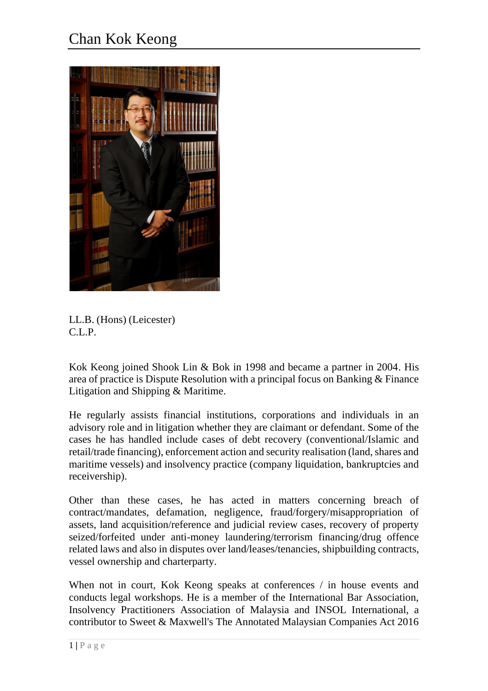

LL.B. (Hons) (Leicester) C.L.P.

Kok Keong joined Shook Lin & Bok in 1998 and became a partner in 2004. His area of practice is Dispute Resolution with a principal focus on Banking & Finance Litigation and Shipping & Maritime.

He regularly assists financial institutions, corporations and individuals in an advisory role and in litigation whether they are claimant or defendant. Some of the cases he has handled include cases of debt recovery (conventional/Islamic and retail/trade financing), enforcement action and security realisation (land, shares and maritime vessels) and insolvency practice (company liquidation, bankruptcies and receivership).

Other than these cases, he has acted in matters concerning breach of contract/mandates, defamation, negligence, fraud/forgery/misappropriation of assets, land acquisition/reference and judicial review cases, recovery of property seized/forfeited under anti-money laundering/terrorism financing/drug offence related laws and also in disputes over land/leases/tenancies, shipbuilding contracts, vessel ownership and charterparty.

When not in court, Kok Keong speaks at conferences / in house events and conducts legal workshops. He is a member of the International Bar Association, Insolvency Practitioners Association of Malaysia and INSOL International, a contributor to Sweet & Maxwell's The Annotated Malaysian Companies Act 2016